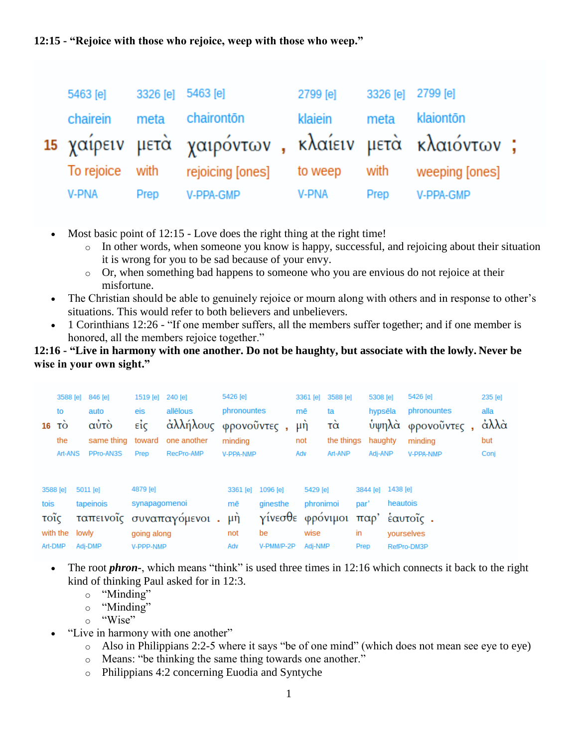## **12:15 - "Rejoice with those who rejoice, weep with those who weep."**

| 5463 [e]      | 3326 [e] 5463 [e] |                                                              | 2799 [e] | 3326 [e] 2799 [e] |           |  |
|---------------|-------------------|--------------------------------------------------------------|----------|-------------------|-----------|--|
| chairein meta |                   | chairontōn                                                   | klaiein  | meta              | klaiontōn |  |
|               |                   | 15 χαίρειν μετά χαιρόντων, κλαίειν μετά κλαιόντων;           |          |                   |           |  |
|               |                   | To rejoice with rejoicing [ones] to weep with weeping [ones] |          |                   |           |  |
| <b>V-PNA</b>  | Prep              | V-PPA-GMP                                                    | V-PNA    | Prep              | V-PPA-GMP |  |

- Most basic point of 12:15 Love does the right thing at the right time!
	- $\circ$  In other words, when someone you know is happy, successful, and rejoicing about their situation it is wrong for you to be sad because of your envy.
	- o Or, when something bad happens to someone who you are envious do not rejoice at their misfortune.
- The Christian should be able to genuinely rejoice or mourn along with others and in response to other's situations. This would refer to both believers and unbelievers.
- 1 Corinthians 12:26 "If one member suffers, all the members suffer together; and if one member is honored, all the members rejoice together."

## **12:16 - "Live in harmony with one another. Do not be haughty, but associate with the lowly. Never be wise in your own sight."**

| 16   | 3588 [e]<br>to<br>TÓ<br>the<br>Art-ANS | 846 [e]<br>auto<br>αὐτὸ<br>same thing<br>PPro-AN3S | 1519 [e]<br>eis<br>$ε$ ίς<br>toward<br>Prep | 240 [e]<br>allēlous<br>άλλήλους<br>one another<br>RecPro-AMP | 5426 [e]<br>phronountes<br>minding<br><b>V-PPA-NMP</b> | φρονοῦντες,                              | mē<br>Adv | 3361 [e]<br>μή<br>not | 3588 [e]<br>ta<br>τὰ<br>the things<br>Art-ANP |                  | 5308 [e]<br>hypsēla<br><i></i> ύψηλὰ<br>haughty<br>Adj-ANP |                      | 5426 [e]<br>phronountes<br>φρονοῦντες,<br>minding<br><b>V-PPA-NMP</b> | 235 [e]<br>alla<br>άλλά<br>but<br>Conj |
|------|----------------------------------------|----------------------------------------------------|---------------------------------------------|--------------------------------------------------------------|--------------------------------------------------------|------------------------------------------|-----------|-----------------------|-----------------------------------------------|------------------|------------------------------------------------------------|----------------------|-----------------------------------------------------------------------|----------------------------------------|
| tois | 3588 [e]<br>τοῖς                       | 5011 [e]<br>tapeinois<br>ταπεινοΐς                 | 4879 [e]<br>synapagomenoi                   | συναπαγόμενοι.                                               | 3361 [e]<br>mē<br>μ <sup>η</sup>                       | 1096 [e]<br>ginesthe<br>γίνεσθε φρόνιμοι |           | 5429 [e]<br>phronimoi |                                               | 3844 [e]<br>par' |                                                            | 1438 [e]<br>heautois | παρ' έαυτοΐς.                                                         |                                        |
|      | with the lowly<br>Art-DMP              | Adj-DMP                                            | going along<br>V-PPP-NMP                    |                                                              | not<br>Adv                                             | be<br>V-PMM/P-2P                         |           | wise<br>Adj-NMP       |                                               | in<br>Prep       |                                                            |                      | yourselves<br>RefPro-DM3P                                             |                                        |

- The root *phron-*, which means "think" is used three times in 12:16 which connects it back to the right kind of thinking Paul asked for in 12:3.
	- o "Minding"
	- o "Minding"
	- o "Wise"
- "Live in harmony with one another"
	- o Also in Philippians 2:2-5 where it says "be of one mind" (which does not mean see eye to eye)
	- o Means: "be thinking the same thing towards one another."
	- o Philippians 4:2 concerning Euodia and Syntyche